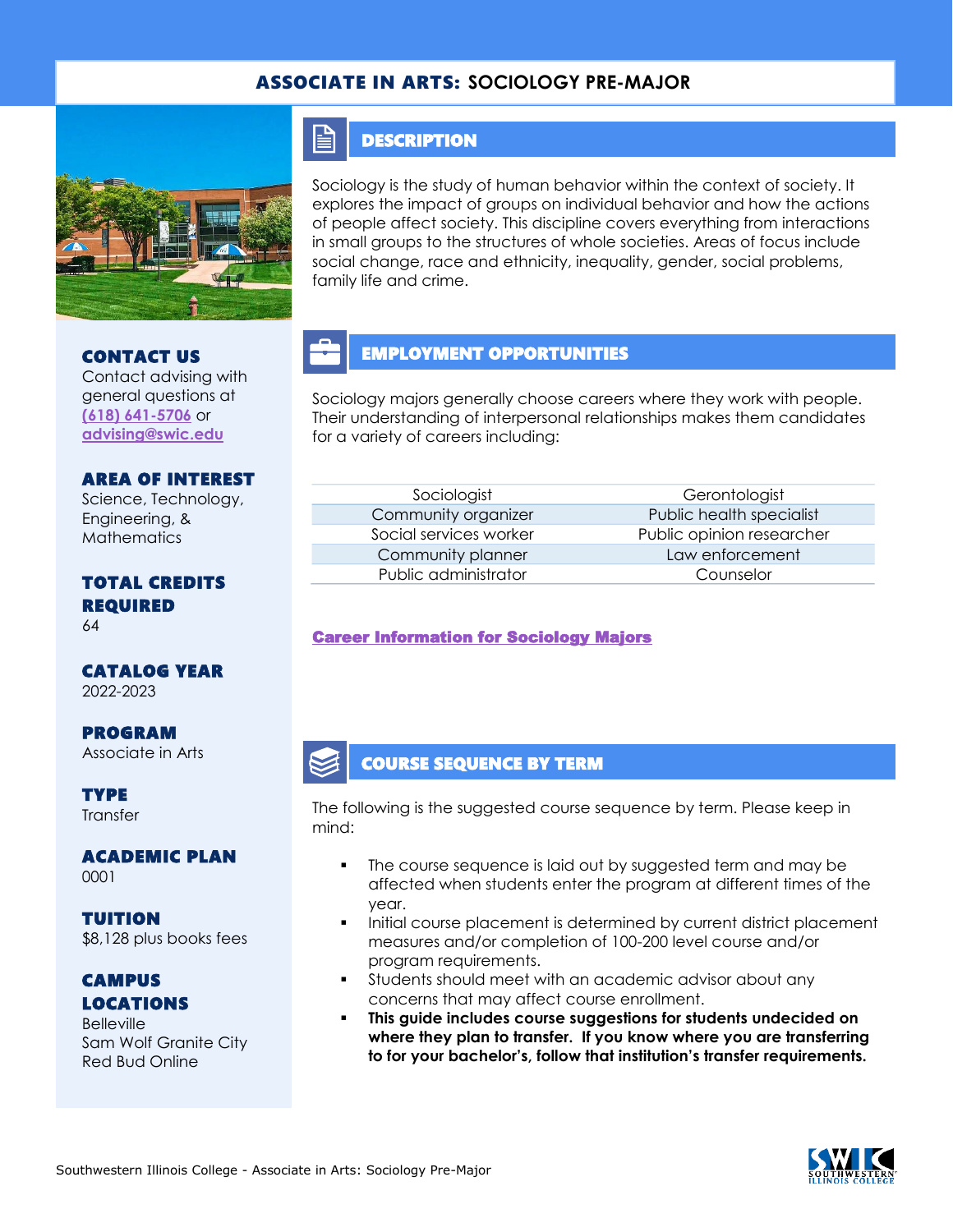### ASSOCIATE IN ARTS: **SOCIOLOGY PRE-MAJOR**



#### E **DESCRIPTION**

Sociology is the study of human behavior within the context of society. It explores the impact of groups on individual behavior and how the actions of people affect society. This discipline covers everything from interactions in small groups to the structures of whole societies. Areas of focus include social change, race and ethnicity, inequality, gender, social problems, family life and crime.

# EMPLOYMENT OPPORTUNITIES

Sociology majors generally choose careers where they work with people. Their understanding of interpersonal relationships makes them candidates for a variety of careers including:

AREA OF INTEREST Science, Technology, Engineering, & Mathematics

Contact advising with general questions at **[\(618\) 641-5706](tel:%20(618)%20641-5706)** or **[advising@swic.edu](mailto:advising@swic.edu)**

CONTACT US

## TOTAL CREDITS REQUIRED

64

# CATALOG YEAR

2022-2023

PROGRAM Associate in Arts

**TYPE Transfer** 

ACADEMIC PLAN 0001

TUITION \$8,128 plus books fees

### CAMPUS LOCATIONS

**Belleville** Sam Wolf Granite City Red Bud Online

Community planner Law enforcement Public administrator Counselor

Sociologist Gerontologist Community organizer **Public health specialist** Social services worker Public opinion researcher

#### [Career Information for Sociology Majors](https://www.onetonline.org/find/quick?s=sociology)

#### COURSE SEQUENCE BY TERM

The following is the suggested course sequence by term. Please keep in mind:

- The course sequence is laid out by suggested term and may be affected when students enter the program at different times of the year.
- Initial course placement is determined by current district placement measures and/or completion of 100-200 level course and/or program requirements.
- **•** Students should meet with an academic advisor about any concerns that may affect course enrollment.
- This guide includes course suggestions for students undecided on **where they plan to transfer. If you know where you are transferring to for your bachelor's, follow that institution's transfer requirements.**